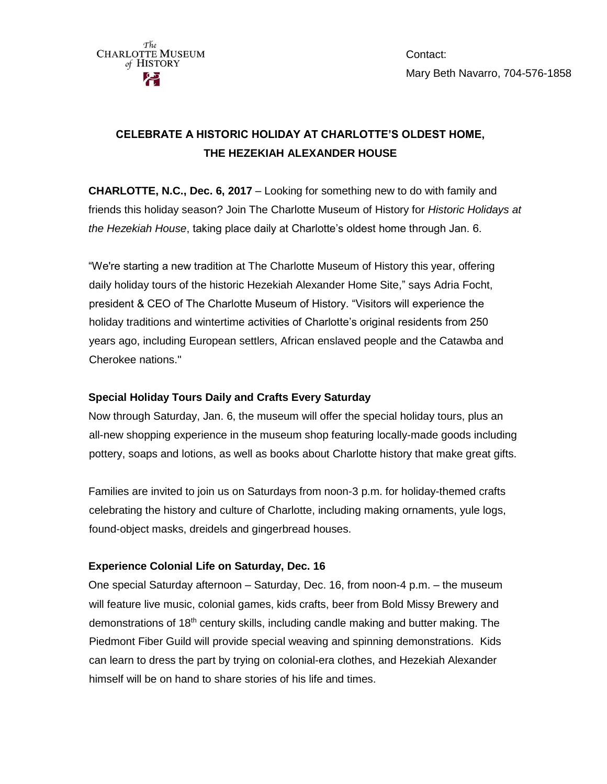

Contact: Mary Beth Navarro, 704-576-1858

# **CELEBRATE A HISTORIC HOLIDAY AT CHARLOTTE'S OLDEST HOME, THE HEZEKIAH ALEXANDER HOUSE**

**CHARLOTTE, N.C., Dec. 6, 2017** – Looking for something new to do with family and friends this holiday season? Join The Charlotte Museum of History for *Historic Holidays at the Hezekiah House*, taking place daily at Charlotte's oldest home through Jan. 6.

"We're starting a new tradition at The Charlotte Museum of History this year, offering daily holiday tours of the historic Hezekiah Alexander Home Site," says Adria Focht, president & CEO of The Charlotte Museum of History. "Visitors will experience the holiday traditions and wintertime activities of Charlotte's original residents from 250 years ago, including European settlers, African enslaved people and the Catawba and Cherokee nations."

## **Special Holiday Tours Daily and Crafts Every Saturday**

Now through Saturday, Jan. 6, the museum will offer the special holiday tours, plus an all-new shopping experience in the museum shop featuring locally-made goods including pottery, soaps and lotions, as well as books about Charlotte history that make great gifts.

Families are invited to join us on Saturdays from noon-3 p.m. for holiday-themed crafts celebrating the history and culture of Charlotte, including making ornaments, yule logs, found-object masks, dreidels and gingerbread houses.

# **Experience Colonial Life on Saturday, Dec. 16**

One special Saturday afternoon – Saturday, Dec. 16, from noon-4 p.m. – the museum will feature live music, colonial games, kids crafts, beer from Bold Missy Brewery and demonstrations of 18th century skills, including candle making and butter making. The Piedmont Fiber Guild will provide special weaving and spinning demonstrations. Kids can learn to dress the part by trying on colonial-era clothes, and Hezekiah Alexander himself will be on hand to share stories of his life and times.